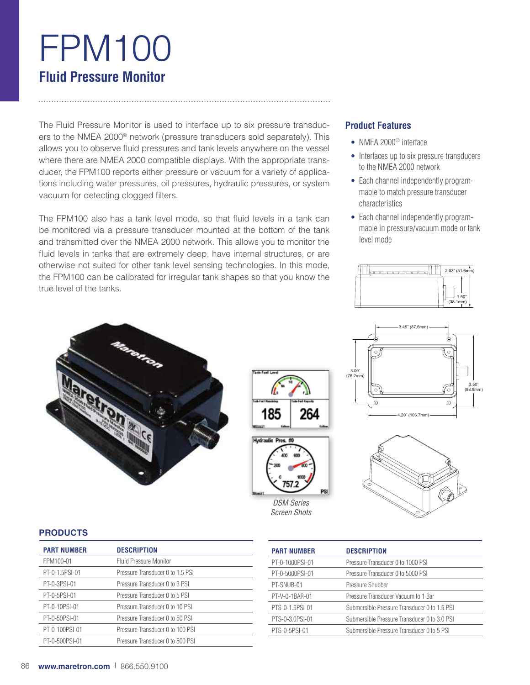# FPM100 **Fluid Pressure Monitor**

The Fluid Pressure Monitor is used to interface up to six pressure transducers to the NMEA 2000® network (pressure transducers sold separately). This allows you to observe fluid pressures and tank levels anywhere on the vessel where there are NMEA 2000 compatible displays. With the appropriate transducer, the FPM100 reports either pressure or vacuum for a variety of applications including water pressures, oil pressures, hydraulic pressures, or system vacuum for detecting clogged filters.

The FPM100 also has a tank level mode, so that fluid levels in a tank can be monitored via a pressure transducer mounted at the bottom of the tank and transmitted over the NMEA 2000 network. This allows you to monitor the fluid levels in tanks that are extremely deep, have internal structures, or are otherwise not suited for other tank level sensing technologies. In this mode, the FPM100 can be calibrated for irregular tank shapes so that you know the true level of the tanks.

# **Product Features**

- NMEA 2000® interface
- Interfaces up to six pressure transducers to the NMEA 2000 network
- Each channel independently programmable to match pressure transducer characteristics
- Each channel independently programmable in pressure/vacuum mode or tank level mode







# **PRODUCTS**

| <b>PART NUMBER</b> | <b>DESCRIPTION</b>               |
|--------------------|----------------------------------|
| FPM100-01          | Fluid Pressure Monitor           |
| PT-0-1.5PSI-01     | Pressure Transducer 0 to 1.5 PSI |
| PT-0-3PSI-01       | Pressure Transducer 0 to 3 PSI   |
| PT-0-5PSI-01       | Pressure Transducer 0 to 5 PSI   |
| PT-0-10PSI-01      | Pressure Transducer 0 to 10 PSI  |
| PT-0-50PSI-01      | Pressure Transducer 0 to 50 PSI  |
| PT-0-100PSI-01     | Pressure Transducer 0 to 100 PSI |
| PT-0-500PSI-01     | Pressure Transducer 0 to 500 PSI |
|                    |                                  |

**Marenco** 

| <b>PART NUMBER</b> | <b>DESCRIPTION</b>                           |
|--------------------|----------------------------------------------|
| PT-0-1000PSI-01    | Pressure Transducer 0 to 1000 PSI            |
| PT-0-5000PSI-01    | Pressure Transducer 0 to 5000 PSI            |
| PT-SNUB-01         | Pressure Snubber                             |
| PT-V-0-1BAR-01     | Pressure Transducer Vacuum to 1 Bar          |
| PTS-0-1.5PSI-01    | Submersible Pressure Transducer 0 to 1.5 PSI |
| PTS-0-3.0PSI-01    | Submersible Pressure Transducer 0 to 3.0 PSI |
| PTS-0-5PSI-01      | Submersible Pressure Transducer 0 to 5 PSI   |

*DSM Series Screen Shots*

57

264

185

kelraulie Pros. #